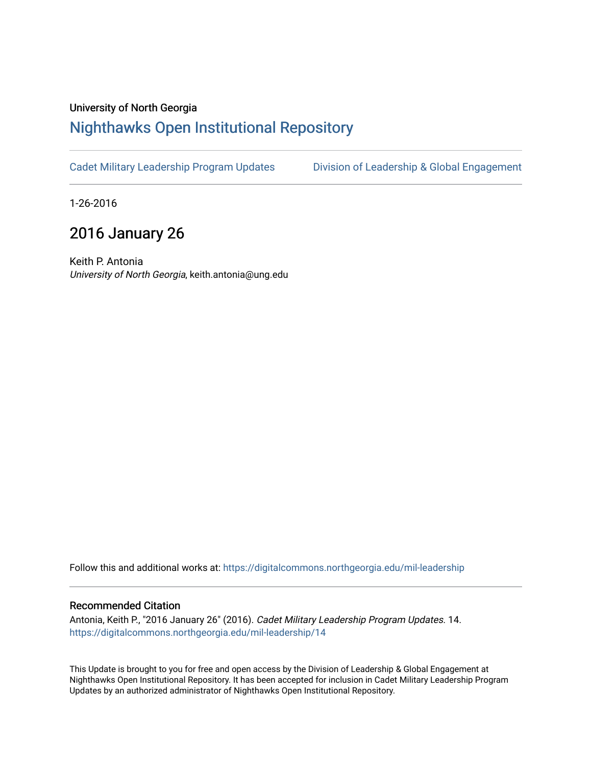### University of North Georgia

## [Nighthawks Open Institutional Repository](https://digitalcommons.northgeorgia.edu/)

[Cadet Military Leadership Program Updates](https://digitalcommons.northgeorgia.edu/mil-leadership) Division of Leadership & Global Engagement

1-26-2016

# 2016 January 26

Keith P. Antonia University of North Georgia, keith.antonia@ung.edu

Follow this and additional works at: [https://digitalcommons.northgeorgia.edu/mil-leadership](https://digitalcommons.northgeorgia.edu/mil-leadership?utm_source=digitalcommons.northgeorgia.edu%2Fmil-leadership%2F14&utm_medium=PDF&utm_campaign=PDFCoverPages) 

#### Recommended Citation

Antonia, Keith P., "2016 January 26" (2016). Cadet Military Leadership Program Updates. 14. [https://digitalcommons.northgeorgia.edu/mil-leadership/14](https://digitalcommons.northgeorgia.edu/mil-leadership/14?utm_source=digitalcommons.northgeorgia.edu%2Fmil-leadership%2F14&utm_medium=PDF&utm_campaign=PDFCoverPages)

This Update is brought to you for free and open access by the Division of Leadership & Global Engagement at Nighthawks Open Institutional Repository. It has been accepted for inclusion in Cadet Military Leadership Program Updates by an authorized administrator of Nighthawks Open Institutional Repository.